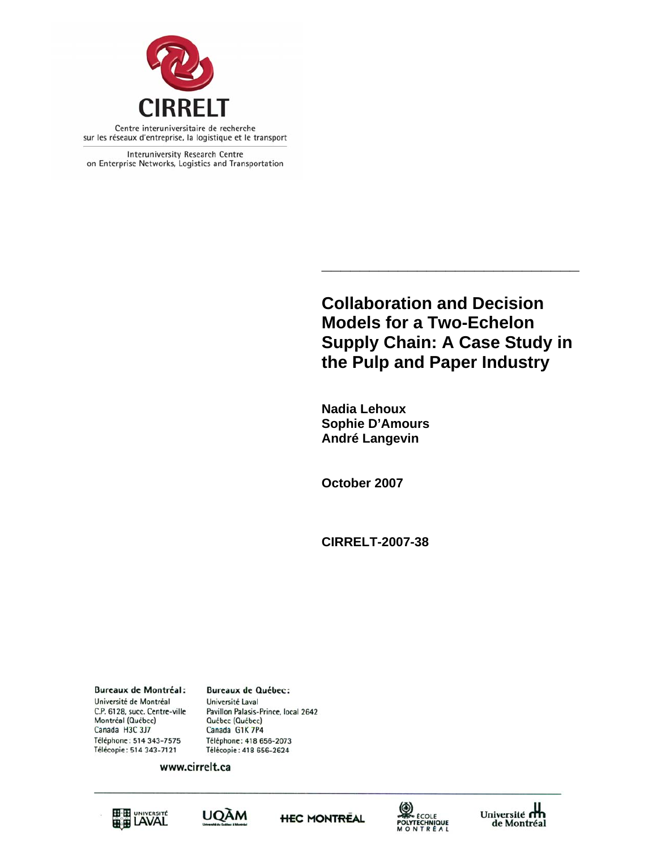

Interuniversity Research Centre on Enterprise Networks, Logistics and Transportation

> **Collaboration and Decision Models for a Two-Echelon Supply Chain: A Case Study in the Pulp and Paper Industry**

**\_\_\_\_\_\_\_\_\_\_\_\_\_\_\_\_\_\_\_\_\_\_\_\_\_\_\_** 

**Nadia Lehoux Sophie D'Amours André Langevin** 

**October 2007** 

**CIRRELT-2007-38** 

**Bureaux de Montréal:** Université de Montréal C.P. 6128, succ. Centre-ville Montréal (Québec) Canada H3C 3J7 Téléphone: 514 343-7575 Télécopie: 514 343-7121

**Bureaux de Québec:** Université Laval Pavillon Palasis-Prince, local 2642 Québec (Québec) Canada G1K 7P4 Téléphone: 418 656-2073 Télécopie: 418 656-2624

www.cirrelt.ca









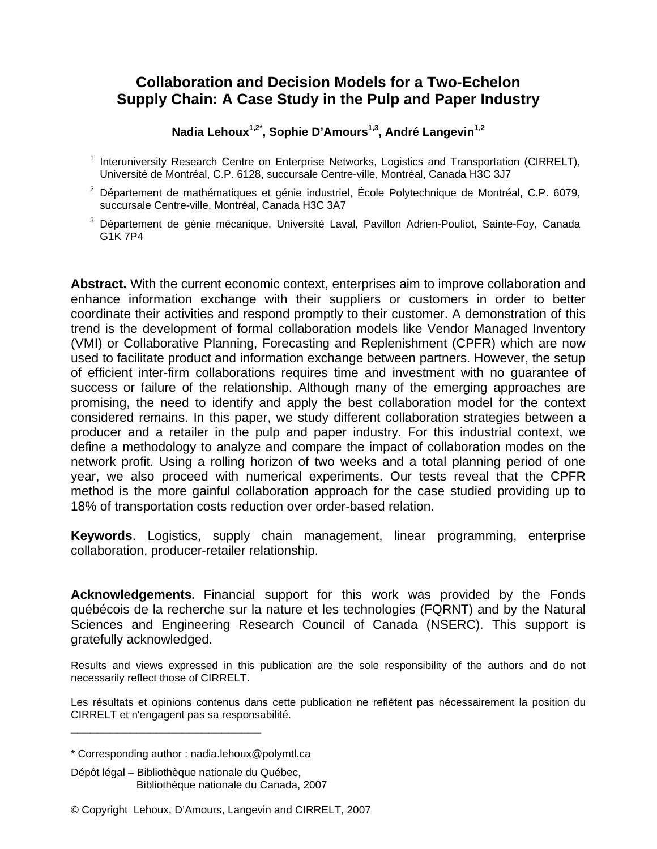# **Collaboration and Decision Models for a Two-Echelon Supply Chain: A Case Study in the Pulp and Paper Industry**

Nadia Lehoux<sup>1,2\*</sup>, Sophie D'Amours<sup>1,3</sup>, André Langevin<sup>1,2</sup>

- <sup>1</sup> Interuniversity Research Centre on Enterprise Networks, Logistics and Transportation (CIRRELT), Université de Montréal, C.P. 6128, succursale Centre-ville, Montréal, Canada H3C 3J7
- $2$  Département de mathématiques et génie industriel, École Polytechnique de Montréal, C.P. 6079, succursale Centre-ville, Montréal, Canada H3C 3A7
- 3 Département de génie mécanique, Université Laval, Pavillon Adrien-Pouliot, Sainte-Foy, Canada G1K 7P4

**Abstract.** With the current economic context, enterprises aim to improve collaboration and enhance information exchange with their suppliers or customers in order to better coordinate their activities and respond promptly to their customer. A demonstration of this trend is the development of formal collaboration models like Vendor Managed Inventory (VMI) or Collaborative Planning, Forecasting and Replenishment (CPFR) which are now used to facilitate product and information exchange between partners. However, the setup of efficient inter-firm collaborations requires time and investment with no guarantee of success or failure of the relationship. Although many of the emerging approaches are promising, the need to identify and apply the best collaboration model for the context considered remains. In this paper, we study different collaboration strategies between a producer and a retailer in the pulp and paper industry. For this industrial context, we define a methodology to analyze and compare the impact of collaboration modes on the network profit. Using a rolling horizon of two weeks and a total planning period of one year, we also proceed with numerical experiments. Our tests reveal that the CPFR method is the more gainful collaboration approach for the case studied providing up to 18% of transportation costs reduction over order-based relation.

**Keywords**. Logistics, supply chain management, linear programming, enterprise collaboration, producer-retailer relationship.

**Acknowledgements.** Financial support for this work was provided by the Fonds québécois de la recherche sur la nature et les technologies (FQRNT) and by the Natural Sciences and Engineering Research Council of Canada (NSERC). This support is gratefully acknowledged.

Results and views expressed in this publication are the sole responsibility of the authors and do not necessarily reflect those of CIRRELT.

Les résultats et opinions contenus dans cette publication ne reflètent pas nécessairement la position du CIRRELT et n'engagent pas sa responsabilité.

**\_\_\_\_\_\_\_\_\_\_\_\_\_\_\_\_\_\_\_\_\_\_\_\_\_\_\_\_\_**

<sup>\*</sup> Corresponding author : nadia.lehoux@polymtl.ca

Dépôt légal – Bibliothèque nationale du Québec, Bibliothèque nationale du Canada, 2007

<sup>©</sup> Copyright Lehoux, D'Amours, Langevin and CIRRELT, 2007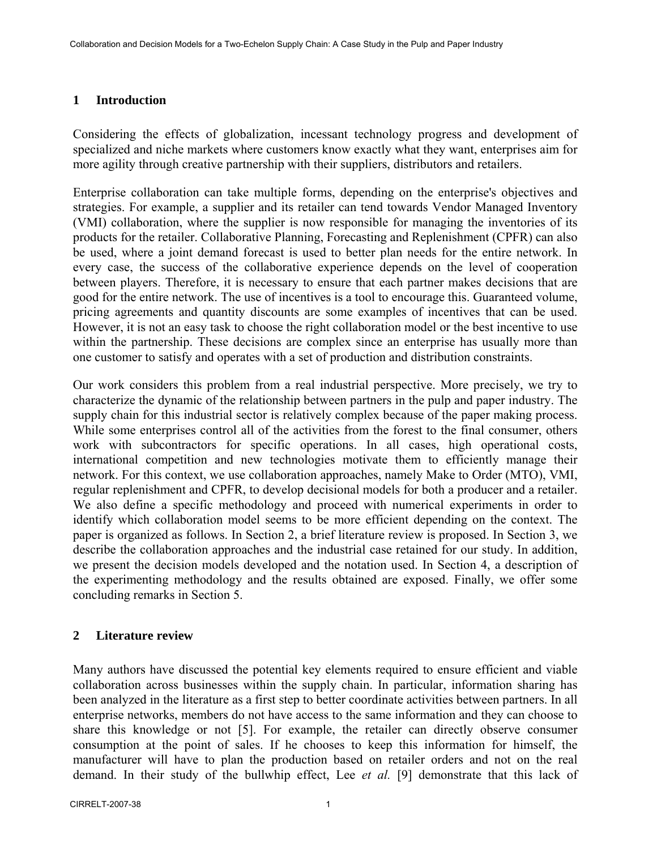### **1 Introduction**

Considering the effects of globalization, incessant technology progress and development of specialized and niche markets where customers know exactly what they want, enterprises aim for more agility through creative partnership with their suppliers, distributors and retailers.

Enterprise collaboration can take multiple forms, depending on the enterprise's objectives and strategies. For example, a supplier and its retailer can tend towards Vendor Managed Inventory (VMI) collaboration, where the supplier is now responsible for managing the inventories of its products for the retailer. Collaborative Planning, Forecasting and Replenishment (CPFR) can also be used, where a joint demand forecast is used to better plan needs for the entire network. In every case, the success of the collaborative experience depends on the level of cooperation between players. Therefore, it is necessary to ensure that each partner makes decisions that are good for the entire network. The use of incentives is a tool to encourage this. Guaranteed volume, pricing agreements and quantity discounts are some examples of incentives that can be used. However, it is not an easy task to choose the right collaboration model or the best incentive to use within the partnership. These decisions are complex since an enterprise has usually more than one customer to satisfy and operates with a set of production and distribution constraints.

Our work considers this problem from a real industrial perspective. More precisely, we try to characterize the dynamic of the relationship between partners in the pulp and paper industry. The supply chain for this industrial sector is relatively complex because of the paper making process. While some enterprises control all of the activities from the forest to the final consumer, others work with subcontractors for specific operations. In all cases, high operational costs, international competition and new technologies motivate them to efficiently manage their network. For this context, we use collaboration approaches, namely Make to Order (MTO), VMI, regular replenishment and CPFR, to develop decisional models for both a producer and a retailer. We also define a specific methodology and proceed with numerical experiments in order to identify which collaboration model seems to be more efficient depending on the context. The paper is organized as follows. In Section 2, a brief literature review is proposed. In Section 3, we describe the collaboration approaches and the industrial case retained for our study. In addition, we present the decision models developed and the notation used. In Section 4, a description of the experimenting methodology and the results obtained are exposed. Finally, we offer some concluding remarks in Section 5.

# **2 Literature review**

Many authors have discussed the potential key elements required to ensure efficient and viable collaboration across businesses within the supply chain. In particular, information sharing has been analyzed in the literature as a first step to better coordinate activities between partners. In all enterprise networks, members do not have access to the same information and they can choose to share this knowledge or not [5]. For example, the retailer can directly observe consumer consumption at the point of sales. If he chooses to keep this information for himself, the manufacturer will have to plan the production based on retailer orders and not on the real demand. In their study of the bullwhip effect, Lee *et al.* [9] demonstrate that this lack of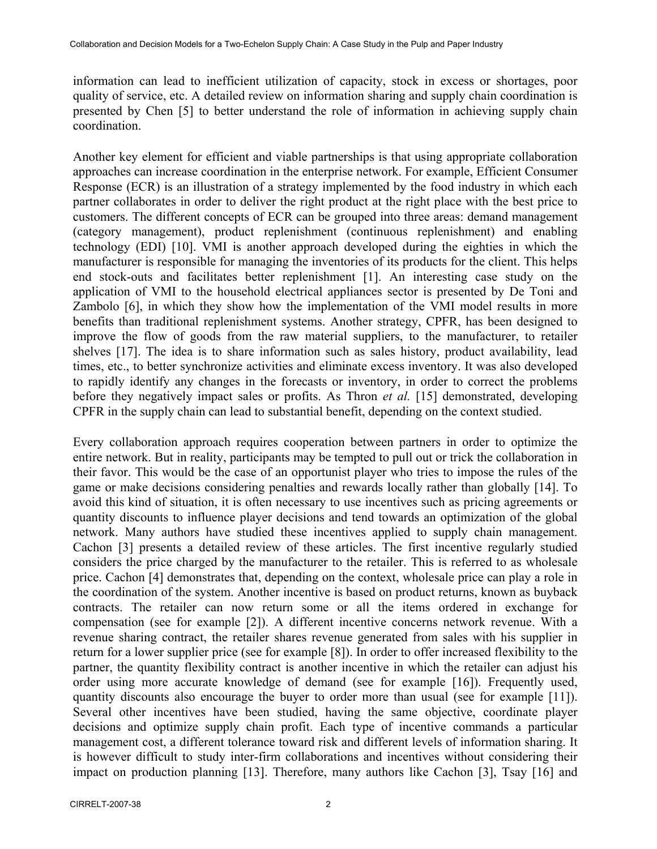information can lead to inefficient utilization of capacity, stock in excess or shortages, poor quality of service, etc. A detailed review on information sharing and supply chain coordination is presented by Chen [5] to better understand the role of information in achieving supply chain coordination.

Another key element for efficient and viable partnerships is that using appropriate collaboration approaches can increase coordination in the enterprise network. For example, Efficient Consumer Response (ECR) is an illustration of a strategy implemented by the food industry in which each partner collaborates in order to deliver the right product at the right place with the best price to customers. The different concepts of ECR can be grouped into three areas: demand management (category management), product replenishment (continuous replenishment) and enabling technology (EDI) [10]. VMI is another approach developed during the eighties in which the manufacturer is responsible for managing the inventories of its products for the client. This helps end stock-outs and facilitates better replenishment [1]. An interesting case study on the application of VMI to the household electrical appliances sector is presented by De Toni and Zambolo [6], in which they show how the implementation of the VMI model results in more benefits than traditional replenishment systems. Another strategy, CPFR, has been designed to improve the flow of goods from the raw material suppliers, to the manufacturer, to retailer shelves [17]. The idea is to share information such as sales history, product availability, lead times, etc., to better synchronize activities and eliminate excess inventory. It was also developed to rapidly identify any changes in the forecasts or inventory, in order to correct the problems before they negatively impact sales or profits. As Thron *et al.* [15] demonstrated, developing CPFR in the supply chain can lead to substantial benefit, depending on the context studied.

Every collaboration approach requires cooperation between partners in order to optimize the entire network. But in reality, participants may be tempted to pull out or trick the collaboration in their favor. This would be the case of an opportunist player who tries to impose the rules of the game or make decisions considering penalties and rewards locally rather than globally [14]. To avoid this kind of situation, it is often necessary to use incentives such as pricing agreements or quantity discounts to influence player decisions and tend towards an optimization of the global network. Many authors have studied these incentives applied to supply chain management. Cachon [3] presents a detailed review of these articles. The first incentive regularly studied considers the price charged by the manufacturer to the retailer. This is referred to as wholesale price. Cachon [4] demonstrates that, depending on the context, wholesale price can play a role in the coordination of the system. Another incentive is based on product returns, known as buyback contracts. The retailer can now return some or all the items ordered in exchange for compensation (see for example [2]). A different incentive concerns network revenue. With a revenue sharing contract, the retailer shares revenue generated from sales with his supplier in return for a lower supplier price (see for example [8]). In order to offer increased flexibility to the partner, the quantity flexibility contract is another incentive in which the retailer can adjust his order using more accurate knowledge of demand (see for example [16]). Frequently used, quantity discounts also encourage the buyer to order more than usual (see for example [11]). Several other incentives have been studied, having the same objective, coordinate player decisions and optimize supply chain profit. Each type of incentive commands a particular management cost, a different tolerance toward risk and different levels of information sharing. It is however difficult to study inter-firm collaborations and incentives without considering their impact on production planning [13]. Therefore, many authors like Cachon [3], Tsay [16] and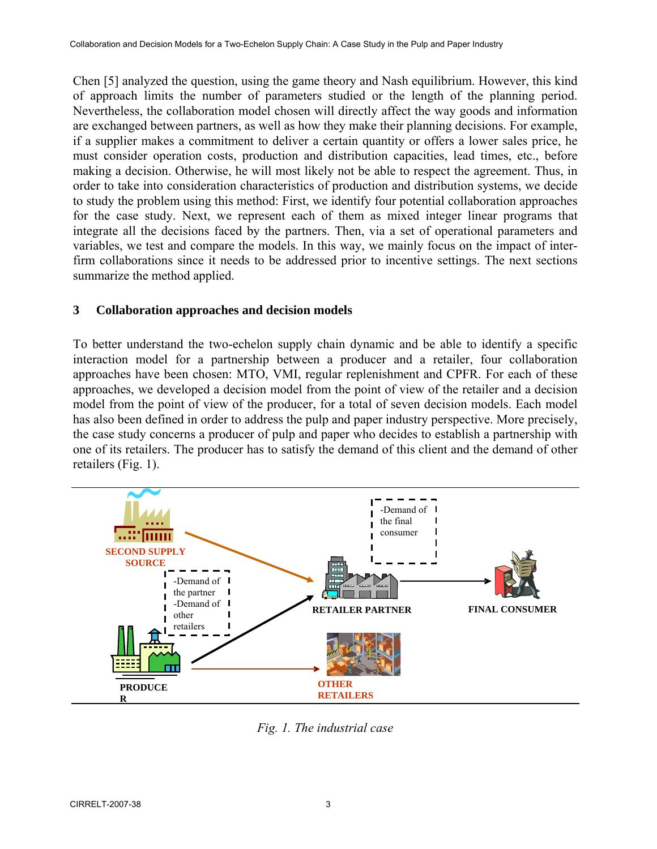Chen [5] analyzed the question, using the game theory and Nash equilibrium. However, this kind of approach limits the number of parameters studied or the length of the planning period. Nevertheless, the collaboration model chosen will directly affect the way goods and information are exchanged between partners, as well as how they make their planning decisions. For example, if a supplier makes a commitment to deliver a certain quantity or offers a lower sales price, he must consider operation costs, production and distribution capacities, lead times, etc., before making a decision. Otherwise, he will most likely not be able to respect the agreement. Thus, in order to take into consideration characteristics of production and distribution systems, we decide to study the problem using this method: First, we identify four potential collaboration approaches for the case study. Next, we represent each of them as mixed integer linear programs that integrate all the decisions faced by the partners. Then, via a set of operational parameters and variables, we test and compare the models. In this way, we mainly focus on the impact of interfirm collaborations since it needs to be addressed prior to incentive settings. The next sections summarize the method applied.

# **3 Collaboration approaches and decision models**

To better understand the two-echelon supply chain dynamic and be able to identify a specific interaction model for a partnership between a producer and a retailer, four collaboration approaches have been chosen: MTO, VMI, regular replenishment and CPFR. For each of these approaches, we developed a decision model from the point of view of the retailer and a decision model from the point of view of the producer, for a total of seven decision models. Each model has also been defined in order to address the pulp and paper industry perspective. More precisely, the case study concerns a producer of pulp and paper who decides to establish a partnership with one of its retailers. The producer has to satisfy the demand of this client and the demand of other retailers (Fig. 1).



*Fig. 1. The industrial case*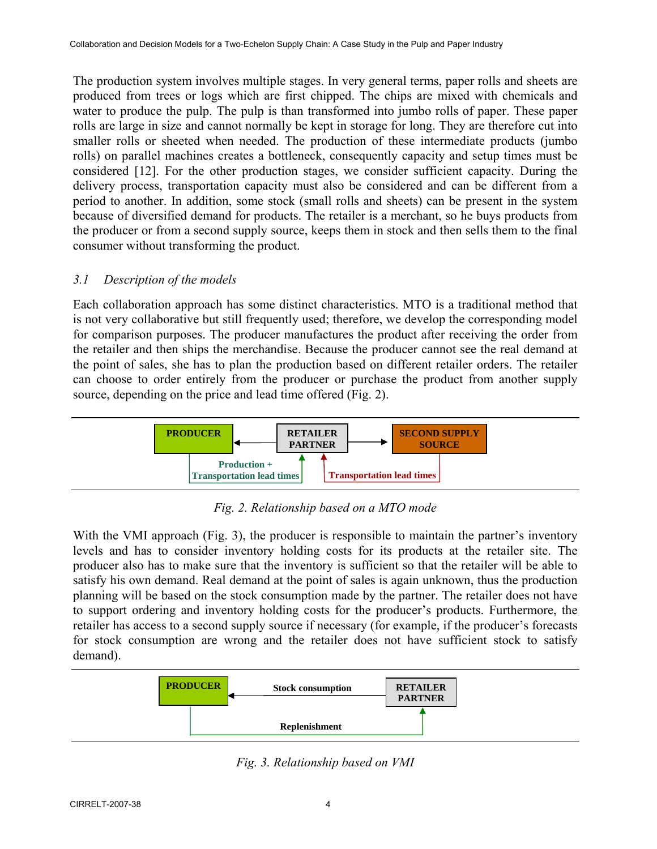The production system involves multiple stages. In very general terms, paper rolls and sheets are produced from trees or logs which are first chipped. The chips are mixed with chemicals and water to produce the pulp. The pulp is than transformed into jumbo rolls of paper. These paper rolls are large in size and cannot normally be kept in storage for long. They are therefore cut into smaller rolls or sheeted when needed. The production of these intermediate products (jumbo rolls) on parallel machines creates a bottleneck, consequently capacity and setup times must be considered [12]. For the other production stages, we consider sufficient capacity. During the delivery process, transportation capacity must also be considered and can be different from a period to another. In addition, some stock (small rolls and sheets) can be present in the system because of diversified demand for products. The retailer is a merchant, so he buys products from the producer or from a second supply source, keeps them in stock and then sells them to the final consumer without transforming the product.

# *3.1 Description of the models*

Each collaboration approach has some distinct characteristics. MTO is a traditional method that is not very collaborative but still frequently used; therefore, we develop the corresponding model for comparison purposes. The producer manufactures the product after receiving the order from the retailer and then ships the merchandise. Because the producer cannot see the real demand at the point of sales, she has to plan the production based on different retailer orders. The retailer can choose to order entirely from the producer or purchase the product from another supply source, depending on the price and lead time offered (Fig. 2).



*Fig. 2. Relationship based on a MTO mode* 

With the VMI approach (Fig. 3), the producer is responsible to maintain the partner's inventory levels and has to consider inventory holding costs for its products at the retailer site. The producer also has to make sure that the inventory is sufficient so that the retailer will be able to satisfy his own demand. Real demand at the point of sales is again unknown, thus the production planning will be based on the stock consumption made by the partner. The retailer does not have to support ordering and inventory holding costs for the producer's products. Furthermore, the retailer has access to a second supply source if necessary (for example, if the producer's forecasts for stock consumption are wrong and the retailer does not have sufficient stock to satisfy demand).



*Fig. 3. Relationship based on VMI*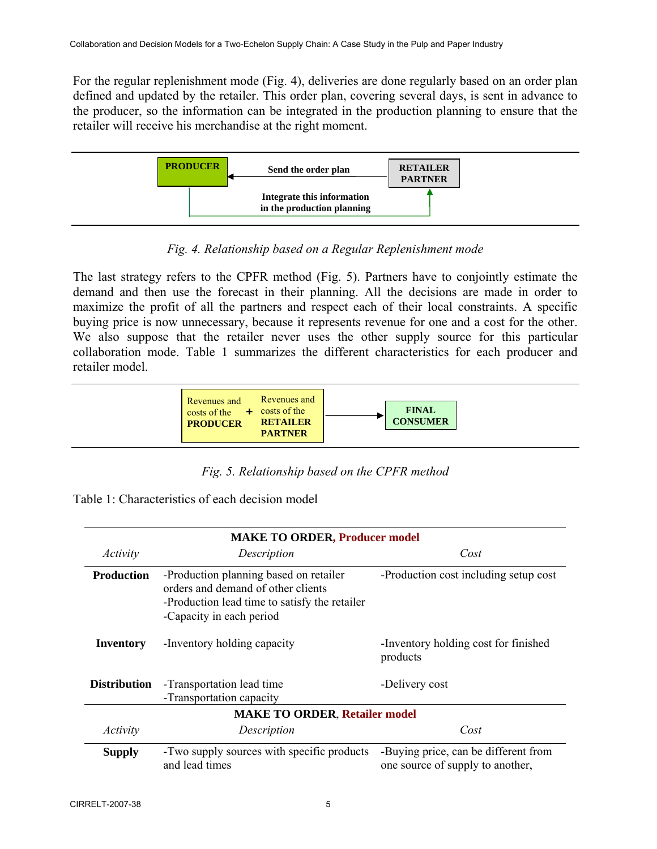For the regular replenishment mode (Fig. 4), deliveries are done regularly based on an order plan defined and updated by the retailer. This order plan, covering several days, is sent in advance to the producer, so the information can be integrated in the production planning to ensure that the retailer will receive his merchandise at the right moment.



*Fig. 4. Relationship based on a Regular Replenishment mode* 

The last strategy refers to the CPFR method (Fig. 5). Partners have to conjointly estimate the demand and then use the forecast in their planning. All the decisions are made in order to maximize the profit of all the partners and respect each of their local constraints. A specific buying price is now unnecessary, because it represents revenue for one and a cost for the other. We also suppose that the retailer never uses the other supply source for this particular collaboration mode. Table 1 summarizes the different characteristics for each producer and retailer model.



*Fig. 5. Relationship based on the CPFR method* 

| Table 1: Characteristics of each decision model |
|-------------------------------------------------|
|-------------------------------------------------|

| <b>MAKE TO ORDER, Producer model</b> |                                                                                                                                                           |                                                                          |  |  |
|--------------------------------------|-----------------------------------------------------------------------------------------------------------------------------------------------------------|--------------------------------------------------------------------------|--|--|
| Activity                             | Description                                                                                                                                               | Cost                                                                     |  |  |
| <b>Production</b>                    | -Production planning based on retailer<br>orders and demand of other clients<br>-Production lead time to satisfy the retailer<br>-Capacity in each period | -Production cost including setup cost                                    |  |  |
| Inventory                            | -Inventory holding capacity                                                                                                                               | -Inventory holding cost for finished<br>products                         |  |  |
| <b>Distribution</b>                  | -Transportation lead time<br>-Transportation capacity                                                                                                     | -Delivery cost                                                           |  |  |
| <b>MAKE TO ORDER, Retailer model</b> |                                                                                                                                                           |                                                                          |  |  |
| Activity                             | Description                                                                                                                                               | Cost                                                                     |  |  |
| <b>Supply</b>                        | -Two supply sources with specific products<br>and lead times                                                                                              | -Buying price, can be different from<br>one source of supply to another, |  |  |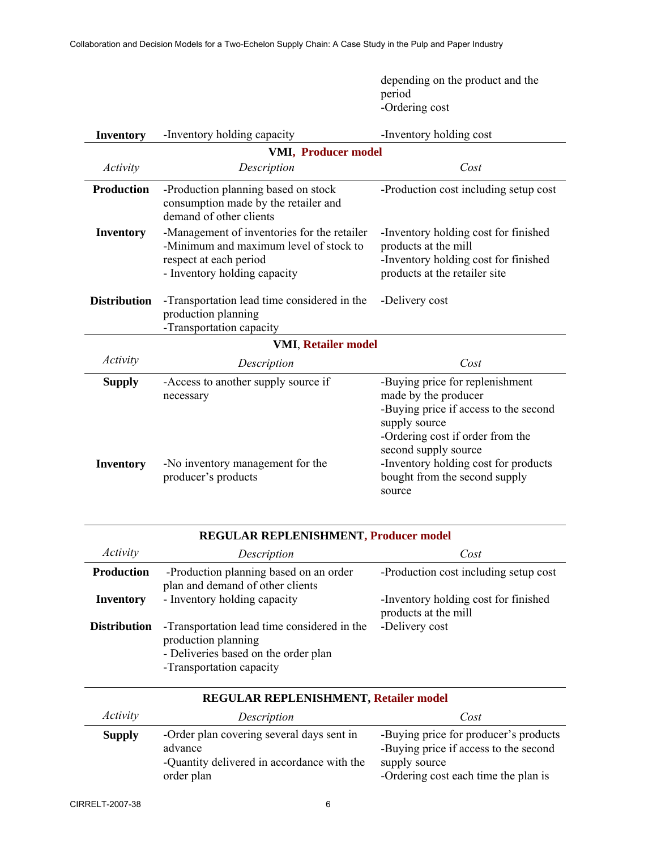depending on the product and the period -Ordering cost

| <b>Inventory</b>           | -Inventory holding capacity                                                                                                                     | -Inventory holding cost                                                                                                                                                       |  |  |
|----------------------------|-------------------------------------------------------------------------------------------------------------------------------------------------|-------------------------------------------------------------------------------------------------------------------------------------------------------------------------------|--|--|
| <b>VMI, Producer model</b> |                                                                                                                                                 |                                                                                                                                                                               |  |  |
| Activity                   | Description                                                                                                                                     | Cost                                                                                                                                                                          |  |  |
| <b>Production</b>          | -Production planning based on stock<br>consumption made by the retailer and<br>demand of other clients                                          | -Production cost including setup cost                                                                                                                                         |  |  |
| <b>Inventory</b>           | -Management of inventories for the retailer<br>-Minimum and maximum level of stock to<br>respect at each period<br>- Inventory holding capacity | -Inventory holding cost for finished<br>products at the mill<br>-Inventory holding cost for finished<br>products at the retailer site                                         |  |  |
| <b>Distribution</b>        | -Transportation lead time considered in the<br>production planning<br>-Transportation capacity                                                  | -Delivery cost                                                                                                                                                                |  |  |
| <b>VMI, Retailer model</b> |                                                                                                                                                 |                                                                                                                                                                               |  |  |
| Activity                   | Description                                                                                                                                     | Cost                                                                                                                                                                          |  |  |
| <b>Supply</b>              | -Access to another supply source if<br>necessary                                                                                                | -Buying price for replenishment<br>made by the producer<br>-Buying price if access to the second<br>supply source<br>-Ordering cost if order from the<br>second supply source |  |  |
| <b>Inventory</b>           | -No inventory management for the<br>producer's products                                                                                         | -Inventory holding cost for products<br>bought from the second supply<br>source                                                                                               |  |  |

| REGULAR REPLENISHMENT, Producer model |                                                                                                                                        |                                                              |  |
|---------------------------------------|----------------------------------------------------------------------------------------------------------------------------------------|--------------------------------------------------------------|--|
| Activity                              | Description                                                                                                                            | Cost                                                         |  |
| <b>Production</b>                     | -Production planning based on an order<br>plan and demand of other clients                                                             | -Production cost including setup cost                        |  |
| <b>Inventory</b>                      | - Inventory holding capacity                                                                                                           | -Inventory holding cost for finished<br>products at the mill |  |
| <b>Distribution</b>                   | -Transportation lead time considered in the<br>production planning<br>- Deliveries based on the order plan<br>-Transportation capacity | -Delivery cost                                               |  |

| <b>REGULAR REPLENISHMENT, Retailer model</b> |                                                                                                                  |                                                                                                                                         |  |
|----------------------------------------------|------------------------------------------------------------------------------------------------------------------|-----------------------------------------------------------------------------------------------------------------------------------------|--|
| <i>Activity</i>                              | Description                                                                                                      | Cost                                                                                                                                    |  |
| <b>Supply</b>                                | -Order plan covering several days sent in<br>advance<br>-Quantity delivered in accordance with the<br>order plan | -Buying price for producer's products<br>-Buying price if access to the second<br>supply source<br>-Ordering cost each time the plan is |  |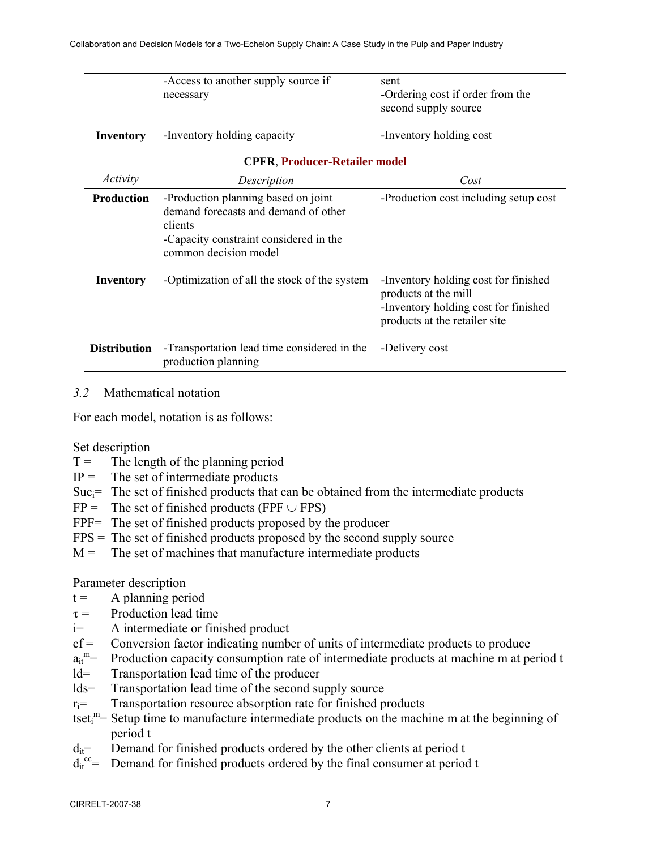|                     | -Access to another supply source if                                                                                                                       | sent                                                                                                                                  |  |  |  |
|---------------------|-----------------------------------------------------------------------------------------------------------------------------------------------------------|---------------------------------------------------------------------------------------------------------------------------------------|--|--|--|
|                     | necessary                                                                                                                                                 | -Ordering cost if order from the                                                                                                      |  |  |  |
|                     |                                                                                                                                                           | second supply source                                                                                                                  |  |  |  |
| Inventory           | -Inventory holding capacity                                                                                                                               | -Inventory holding cost                                                                                                               |  |  |  |
|                     | <b>CPFR, Producer-Retailer model</b>                                                                                                                      |                                                                                                                                       |  |  |  |
| Activity            | Description                                                                                                                                               | Cost                                                                                                                                  |  |  |  |
| <b>Production</b>   | -Production planning based on joint<br>demand forecasts and demand of other<br>clients<br>-Capacity constraint considered in the<br>common decision model | -Production cost including setup cost                                                                                                 |  |  |  |
| Inventory           | -Optimization of all the stock of the system                                                                                                              | -Inventory holding cost for finished<br>products at the mill<br>-Inventory holding cost for finished<br>products at the retailer site |  |  |  |
| <b>Distribution</b> | -Transportation lead time considered in the<br>production planning                                                                                        | -Delivery cost                                                                                                                        |  |  |  |

#### *3.2* Mathematical notation

For each model, notation is as follows:

#### Set description

- $T =$  The length of the planning period
- $IP =$  The set of intermediate products
- $Suc_i$ = The set of finished products that can be obtained from the intermediate products
- $FP =$  The set of finished products (FPF  $\cup$  FPS)
- FPF= The set of finished products proposed by the producer
- $FPS = The set of finished products proposed by the second supply source$
- $M =$  The set of machines that manufacture intermediate products

### Parameter description

- $t = A$  planning period
- $\tau$  = Production lead time
- i= A intermediate or finished product
- $cf$  = Conversion factor indicating number of units of intermediate products to produce
- $a_{it}^{\text{m}}=$ Production capacity consumption rate of intermediate products at machine m at period t
- ld= Transportation lead time of the producer
- lds= Transportation lead time of the second supply source
- $r_i$ = Transportation resource absorption rate for finished products
- tset<sub>i</sub><sup>m</sup>= Setup time to manufacture intermediate products on the machine m at the beginning of period t
- $d_{it}$ = Demand for finished products ordered by the other clients at period t
- $d_{it}^{\nccc}$ = Demand for finished products ordered by the final consumer at period t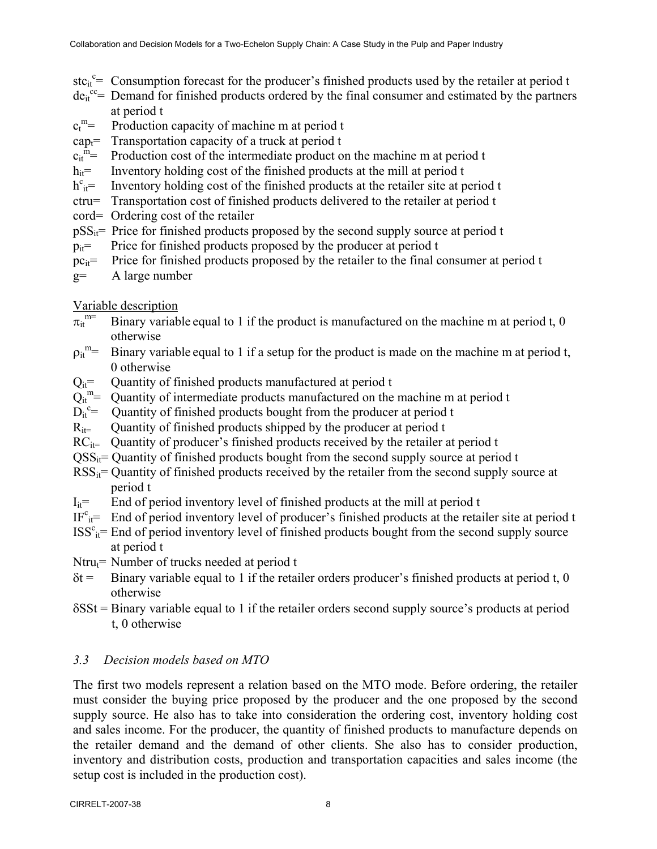- stc<sub>it</sub><sup>c</sup>= Consumption forecast for the producer's finished products used by the retailer at period t
- $de_{it}^{cc}$  Demand for finished products ordered by the final consumer and estimated by the partners at period t
- $c_t^{\ m} =$ Production capacity of machine m at period t
- cap<sub>t</sub>= Transportation capacity of a truck at period t
- $c_{it}^{\text{m}}=$ Production cost of the intermediate product on the machine m at period t
- $h_{it}$ = Inventory holding cost of the finished products at the mill at period t
- $h^{c}_{it}$ = Inventory holding cost of the finished products at the retailer site at period t
- ctru= Transportation cost of finished products delivered to the retailer at period t
- cord= Ordering cost of the retailer
- $pSS_{it}$ = Price for finished products proposed by the second supply source at period t
- $p_{it}$ = Price for finished products proposed by the producer at period t
- $pc_{it}$  Price for finished products proposed by the retailer to the final consumer at period t
- g= A large number

# Variable description

- $\pi_{it}^{m=}$ Binary variable equal to 1 if the product is manufactured on the machine m at period t,  $0$ otherwise
- $\rho_{it}^{\text{m}}=$ Binary variable equal to 1 if a setup for the product is made on the machine m at period t, 0 otherwise
- $Q_{it}$ = Quantity of finished products manufactured at period t
- $Q_{it}^m =$ Quantity of intermediate products manufactured on the machine m at period t
- $\overline{D_{it}}^c$ = Quantity of finished products bought from the producer at period t
- $R_{it}$  Quantity of finished products shipped by the producer at period t
- $RC_{it}$  Quantity of producer's finished products received by the retailer at period t
- $\text{OSS}_{it}$  = Quantity of finished products bought from the second supply source at period t
- $RSS_{it}$ = Quantity of finished products received by the retailer from the second supply source at period t
- $I_{it}$ = End of period inventory level of finished products at the mill at period t
- $IF<sup>c</sup><sub>it</sub> =$  End of period inventory level of producer's finished products at the retailer site at period t
- $ISS<sup>c</sup><sub>it</sub> = End of period inventory level of finished products bought from the second supply source$ at period t
- $N$ tru $=$  Number of trucks needed at period t
- $\delta t$  = Binary variable equal to 1 if the retailer orders producer's finished products at period t, 0 otherwise
- δSSt = Binary variable equal to 1 if the retailer orders second supply source's products at period t, 0 otherwise

# *3.3 Decision models based on MTO*

The first two models represent a relation based on the MTO mode. Before ordering, the retailer must consider the buying price proposed by the producer and the one proposed by the second supply source. He also has to take into consideration the ordering cost, inventory holding cost and sales income. For the producer, the quantity of finished products to manufacture depends on the retailer demand and the demand of other clients. She also has to consider production, inventory and distribution costs, production and transportation capacities and sales income (the setup cost is included in the production cost).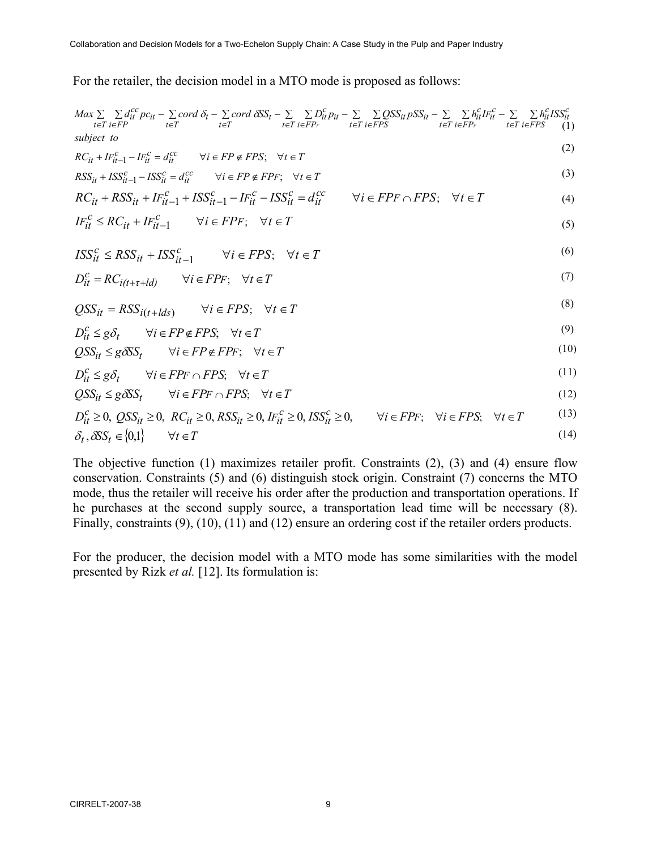For the retailer, the decision model in a MTO mode is proposed as follows:

$$
Max \sum_{t \in T} \sum_{i \in FP} d_{it}^{cc} pc_{it} - \sum_{t \in T} cord \delta_t - \sum_{t \in T} cord \delta SS_t - \sum_{t \in T} \sum_{i \in FP_F} D_{it}^c p_{it} - \sum_{t \in T} \sum_{i \in FPS} QSS_{it} pSS_{it} - \sum_{t \in T} \sum_{i \in FP_F} h_{it}^c I F_{it}^c - \sum_{t \in T} \sum_{i \in FPS} h_{it}^c I S S_{it}^c
$$
\nsubject to

\n(1)

$$
RC_{it} + IF_{it-1}^{c} - IF_{it}^{c} = d_{it}^{cc} \qquad \forall i \in FP \notin FPS; \quad \forall t \in T
$$
 (2)

 $(2)$ 

$$
RSS_{it} + ISS_{it-1}^{c} - ISS_{it}^{c} = d_{it}^{cc} \qquad \forall i \in FP \notin FPF; \quad \forall t \in T
$$
\n
$$
(3)
$$

$$
RC_{it} + RSS_{it} + IF_{it-1}^c + ISS_{it-1}^c - IF_{it}^c - ISS_{it}^c = d_{it}^{cc} \qquad \forall i \in FPF \cap FPS; \quad \forall t \in T
$$
\n
$$
(4)
$$

$$
IF_{it}^{c} \le RC_{it} + IF_{it-1}^{c} \qquad \forall i \in FPF; \quad \forall t \in T
$$
\n
$$
(5)
$$

$$
ISS_{it}^{c} \leq RSS_{it} + ISS_{it-1}^{c} \qquad \forall i \in FPS; \quad \forall t \in T
$$
 (6)

$$
D_{it}^{c} = RC_{i(t+\tau+ld)} \qquad \forall i \in FPF; \quad \forall t \in T
$$
\n
$$
(7)
$$

$$
QSS_{it} = RSS_{i(t+lds)} \qquad \forall i \in FPS; \quad \forall t \in T
$$
\n
$$
(8)
$$

$$
D_{it}^{c} \le g\delta_{t} \qquad \forall i \in FP \notin FPS; \quad \forall t \in T
$$
\n(9)

$$
QSS_{it} \le g\delta SS_t \qquad \forall i \in FP \notin FPF; \quad \forall t \in T
$$
\n
$$
(10)
$$

$$
D_{it}^c \le g\delta_t \qquad \forall i \in FPF \cap FPS; \quad \forall t \in T
$$
\n
$$
(11)
$$

$$
QSS_{it} \le g\delta SS_t \qquad \forall i \in FPF \cap FPS; \quad \forall t \in T
$$
\n
$$
(12)
$$

$$
D_{it}^{c} \ge 0, \ QSS_{it} \ge 0, \ RC_{it} \ge 0, \ RSSS_{it} \ge 0, \ IF_{it}^{c} \ge 0, \ ISS_{it}^{c} \ge 0, \quad \forall i \in FPF; \quad \forall i \in FPS; \quad \forall t \in T
$$
\n
$$
\delta_{t}, \delta SS_{t} \in \{0,1\} \qquad \forall t \in T
$$
\n
$$
(14)
$$

The objective function (1) maximizes retailer profit. Constraints (2), (3) and (4) ensure flow conservation. Constraints (5) and (6) distinguish stock origin. Constraint (7) concerns the MTO mode, thus the retailer will receive his order after the production and transportation operations. If he purchases at the second supply source, a transportation lead time will be necessary (8). Finally, constraints (9), (10), (11) and (12) ensure an ordering cost if the retailer orders products.

For the producer, the decision model with a MTO mode has some similarities with the model presented by Rizk *et al.* [12]. Its formulation is: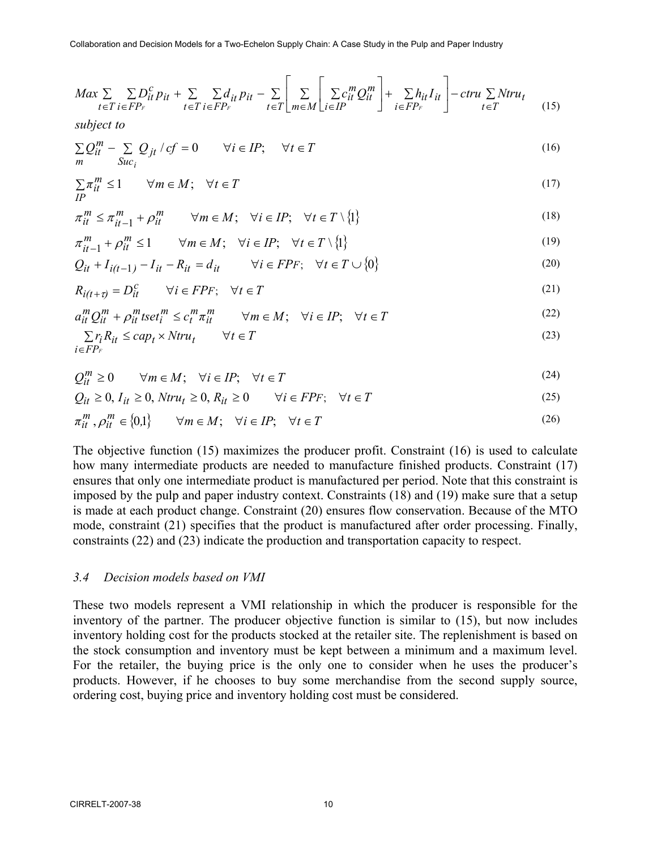$$
Max \sum_{t \in T} \sum_{i \in FP_F} D_{it}^c p_{it} + \sum_{t \in T} \sum_{i \in FP_F} d_{it} p_{it} - \sum_{t \in T} \left[ \sum_{m \in M} \left[ \sum_{i \in IP} c_{it}^m Q_{it}^m \right] + \sum_{i \in FP_F} h_{it} I_{it} \right] - \text{ctru} \sum_{t \in T} N \text{tr} u_t \tag{15}
$$

*subject to*

$$
\sum_{m} Q_{it}^{m} - \sum_{Suc_i} Q_{jt} / cf = 0 \qquad \forall i \in IP; \qquad \forall t \in T
$$
\n
$$
(16)
$$

$$
\sum_{t} \pi_{it}^{m} \le 1 \qquad \forall m \in M; \quad \forall t \in T
$$
\n
$$
(17)
$$

$$
\pi_{it}^m \le \pi_{it-1}^m + \rho_{it}^m \qquad \forall m \in M; \quad \forall i \in IP; \quad \forall t \in T \setminus \{1\}
$$
\n
$$
(18)
$$

$$
\pi_{it-1}^m + \rho_{it}^m \le 1 \qquad \forall m \in M; \quad \forall i \in I\text{P}; \quad \forall t \in T \setminus \{1\} \tag{19}
$$

$$
Q_{it} + I_{i(t-1)} - I_{it} - R_{it} = d_{it} \qquad \forall i \in FPF; \quad \forall t \in T \cup \{0\}
$$
\n
$$
(20)
$$

$$
R_{i(t+\tau)} = D_{it}^c \qquad \forall i \in FPF; \quad \forall t \in T
$$
\n
$$
(21)
$$

$$
a_{it}^{m} Q_{it}^{m} + \rho_{it}^{m} \text{t} set_{i}^{m} \le c_{t}^{m} \pi_{it}^{m} \qquad \forall m \in M; \quad \forall i \in I\text{P}; \quad \forall t \in T
$$
\n
$$
(22)
$$

$$
\sum_{i \in FP_F} r_i R_{it} \le cap_t \times Ntru_t \qquad \forall t \in T
$$
\n
$$
(23)
$$

$$
Q_{it}^{m} \ge 0 \qquad \forall m \in M; \quad \forall i \in IP; \quad \forall t \in T
$$
\n
$$
(24)
$$

$$
Q_{it} \ge 0, I_{it} \ge 0, Ntru_t \ge 0, R_{it} \ge 0 \qquad \forall i \in FPF; \quad \forall t \in T
$$
\n
$$
(25)
$$

$$
\pi_{it}^m, \rho_{it}^m \in \{0,1\} \qquad \forall m \in M; \quad \forall i \in IP; \quad \forall t \in T
$$
\n
$$
(26)
$$

The objective function (15) maximizes the producer profit. Constraint (16) is used to calculate how many intermediate products are needed to manufacture finished products. Constraint (17) ensures that only one intermediate product is manufactured per period. Note that this constraint is imposed by the pulp and paper industry context. Constraints (18) and (19) make sure that a setup is made at each product change. Constraint (20) ensures flow conservation. Because of the MTO mode, constraint (21) specifies that the product is manufactured after order processing. Finally, constraints (22) and (23) indicate the production and transportation capacity to respect.

#### *3.4 Decision models based on VMI*

These two models represent a VMI relationship in which the producer is responsible for the inventory of the partner. The producer objective function is similar to (15), but now includes inventory holding cost for the products stocked at the retailer site. The replenishment is based on the stock consumption and inventory must be kept between a minimum and a maximum level. For the retailer, the buying price is the only one to consider when he uses the producer's products. However, if he chooses to buy some merchandise from the second supply source, ordering cost, buying price and inventory holding cost must be considered.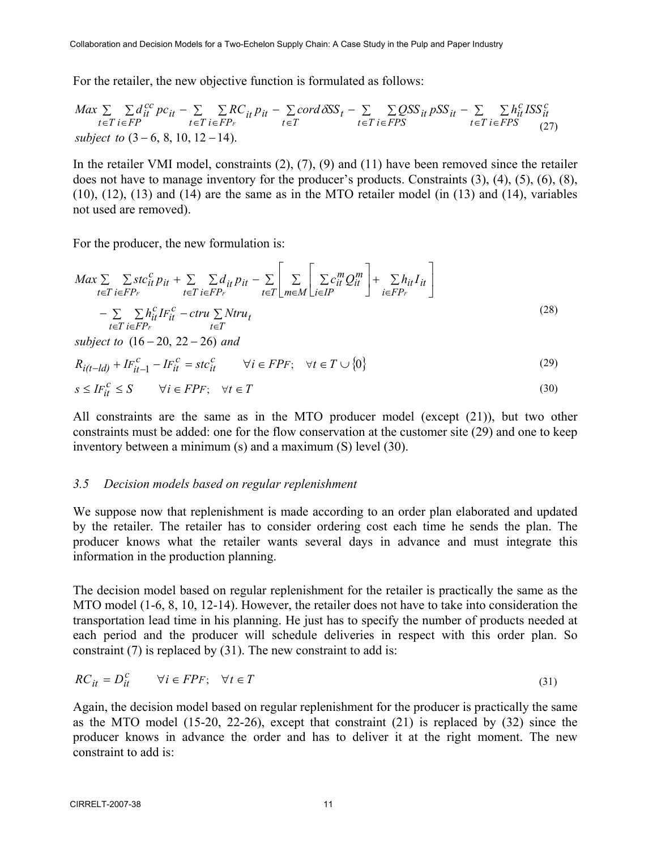For the retailer, the new objective function is formulated as follows:

$$
Max \sum_{t \in T} \sum_{i \in FP} d_{it}^{cc} pc_{it} - \sum_{t \in T} \sum_{i \in FP_F} RC_{it} p_{it} - \sum_{t \in T} cord \delta SS_t - \sum_{t \in T} \sum_{i \in FPS} QSS_{it} pSS_{it} - \sum_{t \in T} \sum_{i \in FPS} h_{it}^{c} ISS_{it}^{c}
$$
  
subject to (3 – 6, 8, 10, 12 – 14).

In the retailer VMI model, constraints (2), (7), (9) and (11) have been removed since the retailer does not have to manage inventory for the producer's products. Constraints (3), (4), (5), (6), (8), (10), (12), (13) and (14) are the same as in the MTO retailer model (in (13) and (14), variables not used are removed).

For the producer, the new formulation is:

$$
Max \sum_{t \in T} \sum_{i \in FP_F} stc_{it}^c p_{it} + \sum_{t \in T} \sum_{i \in FP_F} d_{it} p_{it} - \sum_{t \in T} \left[ \sum_{m \in M} \left[ \sum_{i \in IP} c_{it}^m Q_{it}^m \right] + \sum_{i \in FP_F} h_{it} I_{it} \right]
$$
  
- 
$$
\sum_{t \in T} \sum_{i \in FP_F} h_{it}^c I F_{it}^c - \text{ctru} \sum_{t \in T} N \text{tru}_t
$$
 (28)

 $subject to (16-20, 22-26) and$ 

$$
R_{i(t-1,d)} + I F_{it-1}^c - I F_{it}^c = st c_{it}^c \qquad \forall i \in F P F; \quad \forall t \in T \cup \{0\}
$$
\n
$$
(29)
$$

$$
s \le IF_{it}^{c} \le S \qquad \forall i \in FPF; \quad \forall t \in T
$$
\n
$$
(30)
$$

All constraints are the same as in the MTO producer model (except (21)), but two other constraints must be added: one for the flow conservation at the customer site (29) and one to keep inventory between a minimum (s) and a maximum (S) level (30).

#### *3.5 Decision models based on regular replenishment*

We suppose now that replenishment is made according to an order plan elaborated and updated by the retailer. The retailer has to consider ordering cost each time he sends the plan. The producer knows what the retailer wants several days in advance and must integrate this information in the production planning.

The decision model based on regular replenishment for the retailer is practically the same as the MTO model (1-6, 8, 10, 12-14). However, the retailer does not have to take into consideration the transportation lead time in his planning. He just has to specify the number of products needed at each period and the producer will schedule deliveries in respect with this order plan. So constraint (7) is replaced by (31). The new constraint to add is:

$$
RC_{it} = D_{it}^c \qquad \forall i \in FPF; \quad \forall t \in T
$$
\n
$$
(31)
$$

Again, the decision model based on regular replenishment for the producer is practically the same as the MTO model (15-20, 22-26), except that constraint (21) is replaced by (32) since the producer knows in advance the order and has to deliver it at the right moment. The new constraint to add is: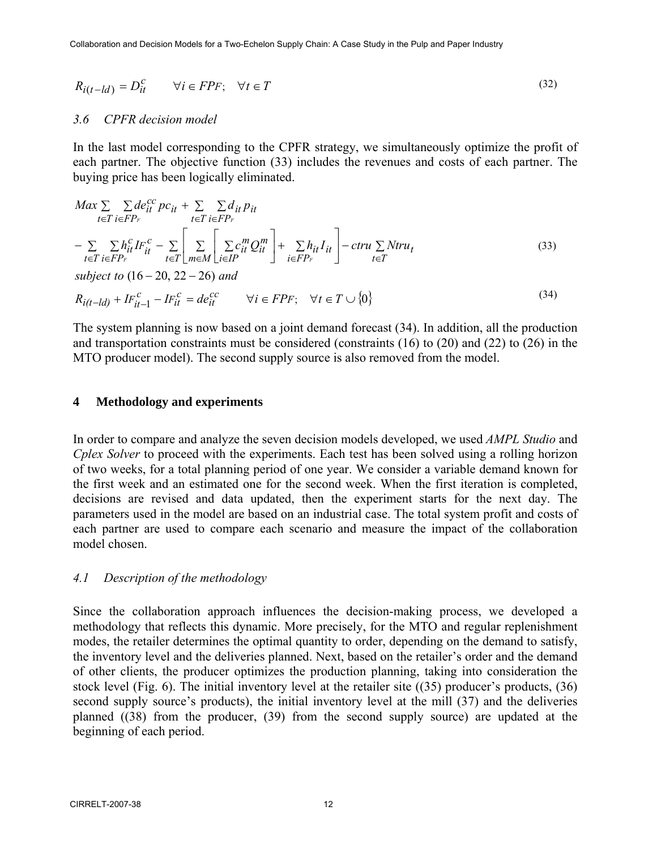$$
R_{i(t-1)d} = D_{it}^c \qquad \forall i \in FPF; \quad \forall t \in T
$$
\n
$$
(32)
$$

#### *3.6 CPFR decision model*

In the last model corresponding to the CPFR strategy, we simultaneously optimize the profit of each partner. The objective function (33) includes the revenues and costs of each partner. The buying price has been logically eliminated.

$$
Max \sum_{t \in T} \sum_{i \in FP_F} de_{it}^{cc} pc_{it} + \sum_{t \in T} \sum_{i \in FP_F} d_{it} p_{it}
$$
  
\n
$$
- \sum_{t \in T} \sum_{i \in FP_F} h_{it}^{c} I F_{it}^{c} - \sum_{t \in T} \left[ \sum_{m \in M} \sum_{i \in IP} c_{it}^{m} Q_{it}^{m} \right] + \sum_{i \in FP_F} h_{it} I_{it} \right] - \text{ctru} \sum_{t \in T} N \text{tru}_{t}
$$
  
\nsubject to (16 - 20, 22 - 26) and (33)

$$
R_{i(t-1)d} + I F_{it-1}^c - I F_{it}^c = de_{it}^{cc} \qquad \forall i \in F P F; \quad \forall t \in T \cup \{0\}
$$
\n
$$
(34)
$$

The system planning is now based on a joint demand forecast (34). In addition, all the production and transportation constraints must be considered (constraints (16) to (20) and (22) to (26) in the MTO producer model). The second supply source is also removed from the model.

#### **4 Methodology and experiments**

In order to compare and analyze the seven decision models developed, we used *AMPL Studio* and *Cplex Solver* to proceed with the experiments. Each test has been solved using a rolling horizon of two weeks, for a total planning period of one year. We consider a variable demand known for the first week and an estimated one for the second week. When the first iteration is completed, decisions are revised and data updated, then the experiment starts for the next day. The parameters used in the model are based on an industrial case. The total system profit and costs of each partner are used to compare each scenario and measure the impact of the collaboration model chosen.

#### *4.1 Description of the methodology*

Since the collaboration approach influences the decision-making process, we developed a methodology that reflects this dynamic. More precisely, for the MTO and regular replenishment modes, the retailer determines the optimal quantity to order, depending on the demand to satisfy, the inventory level and the deliveries planned. Next, based on the retailer's order and the demand of other clients, the producer optimizes the production planning, taking into consideration the stock level (Fig. 6). The initial inventory level at the retailer site ((35) producer's products, (36) second supply source's products), the initial inventory level at the mill (37) and the deliveries planned ((38) from the producer, (39) from the second supply source) are updated at the beginning of each period.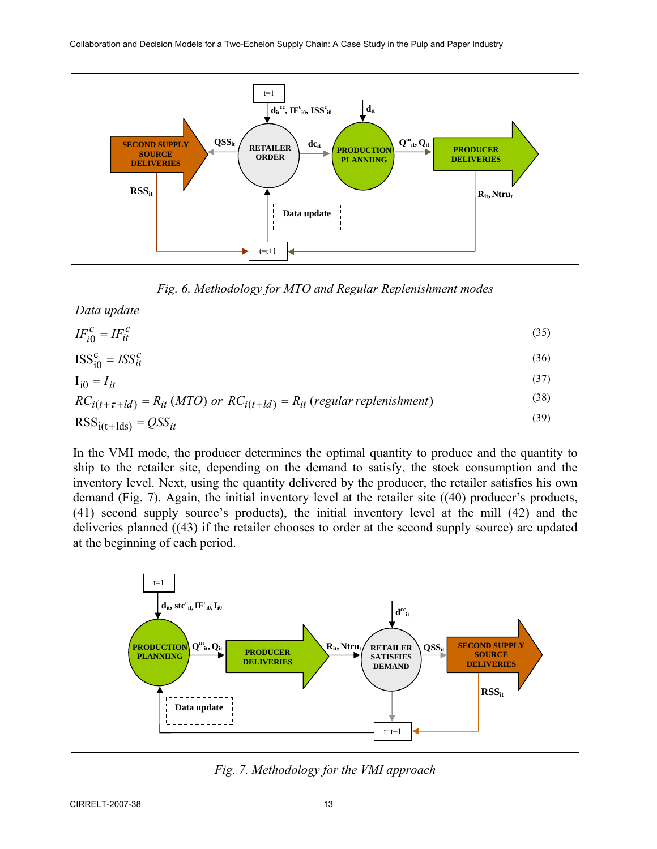

*Fig. 6. Methodology for MTO and Regular Replenishment modes* 

*Data update*

$$
IF_{i0}^{c} = IF_{it}^{c}
$$
 (35)

$$
ISS_{i0}^{c} = ISS_{it}^{c}
$$
 (36)

$$
I_{i0} = I_{it} \tag{37}
$$

$$
RC_{i(t+\tau+ld)} = R_{it} (MTO) \text{ or } RC_{i(t+ld)} = R_{it} (regular \text{ replacement})
$$
\n<sup>(38)</sup>

$$
RSSi(t+lds) = QSSit
$$
 (39)

In the VMI mode, the producer determines the optimal quantity to produce and the quantity to ship to the retailer site, depending on the demand to satisfy, the stock consumption and the inventory level. Next, using the quantity delivered by the producer, the retailer satisfies his own demand (Fig. 7). Again, the initial inventory level at the retailer site ((40) producer's products, (41) second supply source's products), the initial inventory level at the mill (42) and the deliveries planned ((43) if the retailer chooses to order at the second supply source) are updated at the beginning of each period.



*Fig. 7. Methodology for the VMI approach*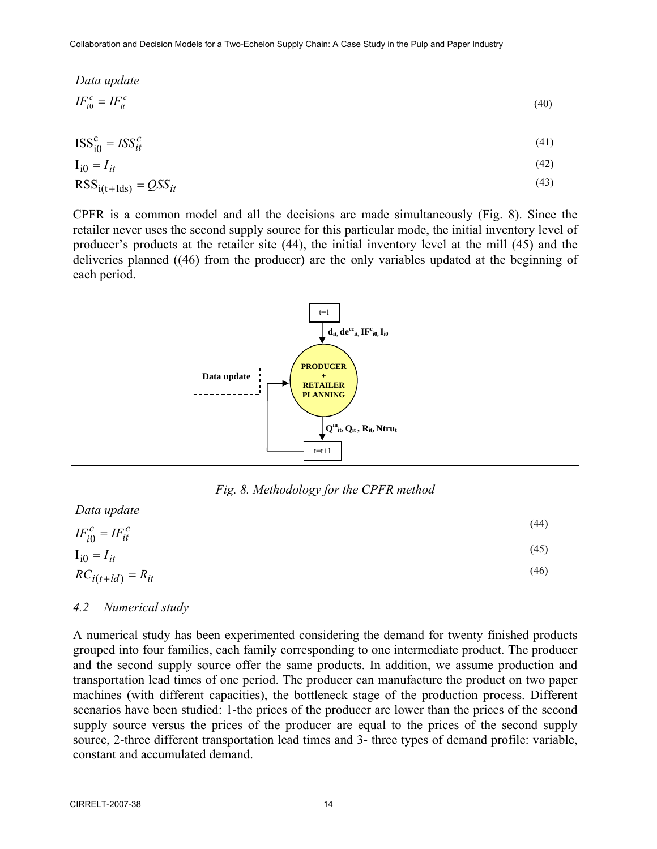$$
Data update
$$
  

$$
IF_{i0}^{c} = IF_{ii}^{c}
$$
 (40)

$$
ISS_{i0}^{c} = ISS_{it}^{c}
$$
 (41)

$$
I_{i0} = I_{it} \tag{42}
$$

$$
RSSi(t+lds) = QSSit
$$
\n(43)

CPFR is a common model and all the decisions are made simultaneously (Fig. 8). Since the retailer never uses the second supply source for this particular mode, the initial inventory level of producer's products at the retailer site (44), the initial inventory level at the mill (45) and the deliveries planned ((46) from the producer) are the only variables updated at the beginning of each period.



*Fig. 8. Methodology for the CPFR method* 

| Data upaate                 |      |
|-----------------------------|------|
| $IF_{i0}^{c} = IF_{it}^{c}$ | (44) |
| $I_{i0} = I_{it}$           | (45) |
| $RC_{i(t+ld)} = R_{it}$     | (46) |
|                             |      |

#### *4.2 Numerical study*

*Data update*

A numerical study has been experimented considering the demand for twenty finished products grouped into four families, each family corresponding to one intermediate product. The producer and the second supply source offer the same products. In addition, we assume production and transportation lead times of one period. The producer can manufacture the product on two paper machines (with different capacities), the bottleneck stage of the production process. Different scenarios have been studied: 1-the prices of the producer are lower than the prices of the second supply source versus the prices of the producer are equal to the prices of the second supply source, 2-three different transportation lead times and 3- three types of demand profile: variable, constant and accumulated demand.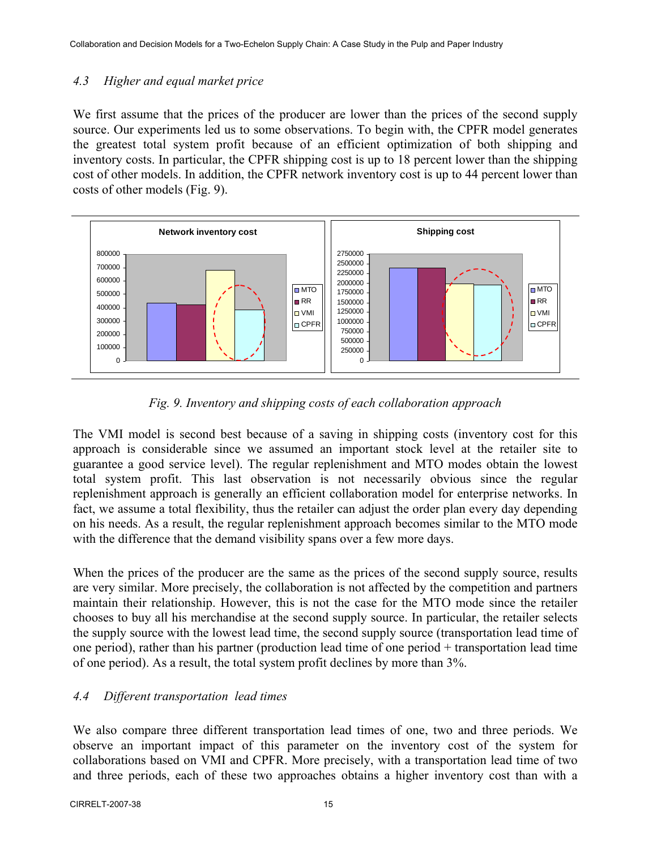# *4.3 Higher and equal market price*

We first assume that the prices of the producer are lower than the prices of the second supply source. Our experiments led us to some observations. To begin with, the CPFR model generates the greatest total system profit because of an efficient optimization of both shipping and inventory costs. In particular, the CPFR shipping cost is up to 18 percent lower than the shipping cost of other models. In addition, the CPFR network inventory cost is up to 44 percent lower than costs of other models (Fig. 9).



*Fig. 9. Inventory and shipping costs of each collaboration approach* 

The VMI model is second best because of a saving in shipping costs (inventory cost for this approach is considerable since we assumed an important stock level at the retailer site to guarantee a good service level). The regular replenishment and MTO modes obtain the lowest total system profit. This last observation is not necessarily obvious since the regular replenishment approach is generally an efficient collaboration model for enterprise networks. In fact, we assume a total flexibility, thus the retailer can adjust the order plan every day depending on his needs. As a result, the regular replenishment approach becomes similar to the MTO mode with the difference that the demand visibility spans over a few more days.

When the prices of the producer are the same as the prices of the second supply source, results are very similar. More precisely, the collaboration is not affected by the competition and partners maintain their relationship. However, this is not the case for the MTO mode since the retailer chooses to buy all his merchandise at the second supply source. In particular, the retailer selects the supply source with the lowest lead time, the second supply source (transportation lead time of one period), rather than his partner (production lead time of one period + transportation lead time of one period). As a result, the total system profit declines by more than 3%.

# *4.4 Different transportation lead times*

We also compare three different transportation lead times of one, two and three periods. We observe an important impact of this parameter on the inventory cost of the system for collaborations based on VMI and CPFR. More precisely, with a transportation lead time of two and three periods, each of these two approaches obtains a higher inventory cost than with a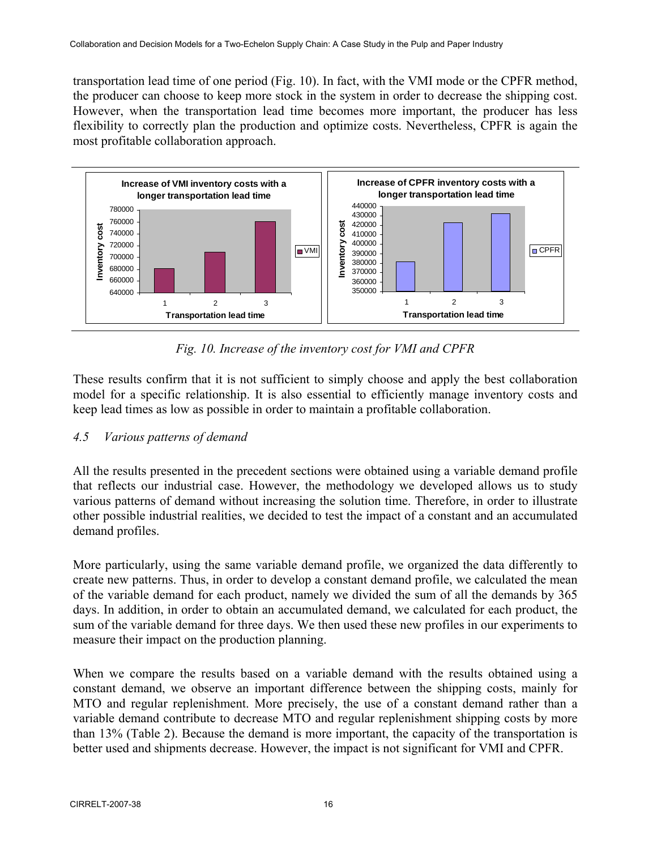transportation lead time of one period (Fig. 10). In fact, with the VMI mode or the CPFR method, the producer can choose to keep more stock in the system in order to decrease the shipping cost. However, when the transportation lead time becomes more important, the producer has less flexibility to correctly plan the production and optimize costs. Nevertheless, CPFR is again the most profitable collaboration approach.



*Fig. 10. Increase of the inventory cost for VMI and CPFR* 

These results confirm that it is not sufficient to simply choose and apply the best collaboration model for a specific relationship. It is also essential to efficiently manage inventory costs and keep lead times as low as possible in order to maintain a profitable collaboration.

# *4.5 Various patterns of demand*

All the results presented in the precedent sections were obtained using a variable demand profile that reflects our industrial case. However, the methodology we developed allows us to study various patterns of demand without increasing the solution time. Therefore, in order to illustrate other possible industrial realities, we decided to test the impact of a constant and an accumulated demand profiles.

More particularly, using the same variable demand profile, we organized the data differently to create new patterns. Thus, in order to develop a constant demand profile, we calculated the mean of the variable demand for each product, namely we divided the sum of all the demands by 365 days. In addition, in order to obtain an accumulated demand, we calculated for each product, the sum of the variable demand for three days. We then used these new profiles in our experiments to measure their impact on the production planning.

When we compare the results based on a variable demand with the results obtained using a constant demand, we observe an important difference between the shipping costs, mainly for MTO and regular replenishment. More precisely, the use of a constant demand rather than a variable demand contribute to decrease MTO and regular replenishment shipping costs by more than 13% (Table 2). Because the demand is more important, the capacity of the transportation is better used and shipments decrease. However, the impact is not significant for VMI and CPFR.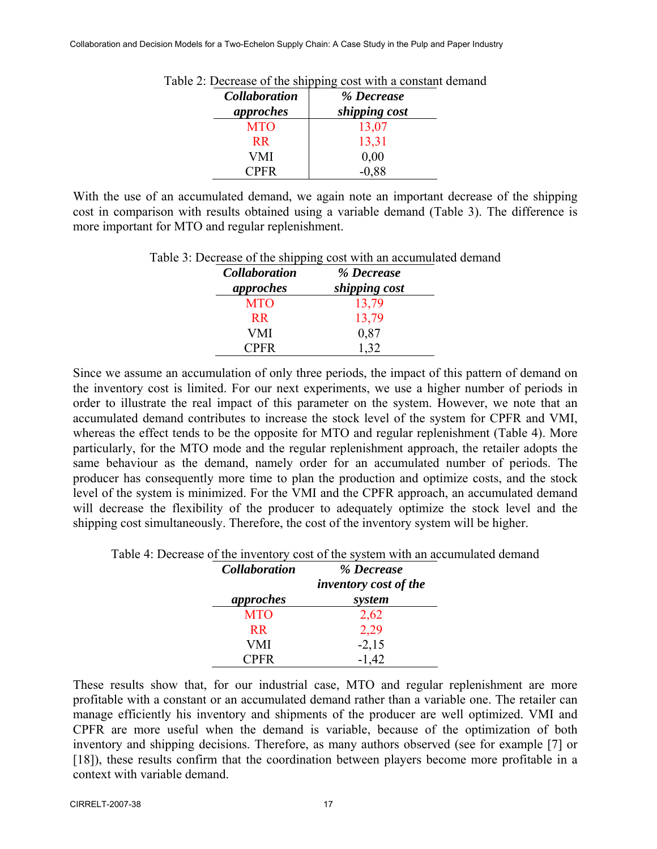| <b>Collaboration</b><br>approches | % Decrease<br>shipping cost |
|-----------------------------------|-----------------------------|
| <b>MTO</b>                        | 13,07                       |
| <b>RR</b>                         | 13,31                       |
| VMI                               | 0,00                        |
| <b>CPFR</b>                       | $-0.88$                     |

Table 2: Decrease of the shipping cost with a constant demand

With the use of an accumulated demand, we again note an important decrease of the shipping cost in comparison with results obtained using a variable demand (Table 3). The difference is more important for MTO and regular replenishment.

| <b>Collaboration</b><br>approches | % Decrease<br>shipping cost |
|-----------------------------------|-----------------------------|
| <b>MTO</b>                        | 13,79                       |
| R <sub>R</sub>                    | 13,79                       |
| VMI                               | 0,87                        |
| <b>CPFR</b>                       | 1.32                        |

# Table 3: Decrease of the shipping cost with an accumulated demand

Since we assume an accumulation of only three periods, the impact of this pattern of demand on the inventory cost is limited. For our next experiments, we use a higher number of periods in order to illustrate the real impact of this parameter on the system. However, we note that an accumulated demand contributes to increase the stock level of the system for CPFR and VMI, whereas the effect tends to be the opposite for MTO and regular replenishment (Table 4). More particularly, for the MTO mode and the regular replenishment approach, the retailer adopts the same behaviour as the demand, namely order for an accumulated number of periods. The producer has consequently more time to plan the production and optimize costs, and the stock level of the system is minimized. For the VMI and the CPFR approach, an accumulated demand will decrease the flexibility of the producer to adequately optimize the stock level and the shipping cost simultaneously. Therefore, the cost of the inventory system will be higher.

| Table 4: Decrease of the inventory cost of the system with an accumulated demand |  |  |
|----------------------------------------------------------------------------------|--|--|
|                                                                                  |  |  |

| <b>Collaboration</b> | % Decrease                   |  |
|----------------------|------------------------------|--|
|                      | <i>inventory cost of the</i> |  |
| approches            | system                       |  |
| <b>MTO</b>           | 2,62                         |  |
| R <sub>R</sub>       | 2,29                         |  |
| VMI                  | $-2,15$                      |  |
| <b>CPFR</b>          | $-1,42$                      |  |

These results show that, for our industrial case, MTO and regular replenishment are more profitable with a constant or an accumulated demand rather than a variable one. The retailer can manage efficiently his inventory and shipments of the producer are well optimized. VMI and CPFR are more useful when the demand is variable, because of the optimization of both inventory and shipping decisions. Therefore, as many authors observed (see for example [7] or [18]), these results confirm that the coordination between players become more profitable in a context with variable demand.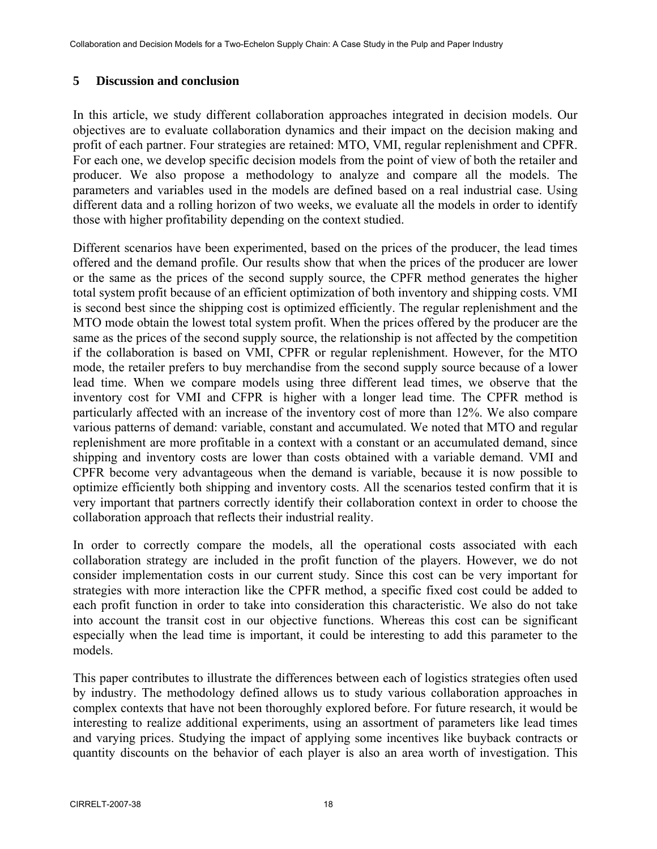# **5 Discussion and conclusion**

In this article, we study different collaboration approaches integrated in decision models. Our objectives are to evaluate collaboration dynamics and their impact on the decision making and profit of each partner. Four strategies are retained: MTO, VMI, regular replenishment and CPFR. For each one, we develop specific decision models from the point of view of both the retailer and producer. We also propose a methodology to analyze and compare all the models. The parameters and variables used in the models are defined based on a real industrial case. Using different data and a rolling horizon of two weeks, we evaluate all the models in order to identify those with higher profitability depending on the context studied.

Different scenarios have been experimented, based on the prices of the producer, the lead times offered and the demand profile. Our results show that when the prices of the producer are lower or the same as the prices of the second supply source, the CPFR method generates the higher total system profit because of an efficient optimization of both inventory and shipping costs. VMI is second best since the shipping cost is optimized efficiently. The regular replenishment and the MTO mode obtain the lowest total system profit. When the prices offered by the producer are the same as the prices of the second supply source, the relationship is not affected by the competition if the collaboration is based on VMI, CPFR or regular replenishment. However, for the MTO mode, the retailer prefers to buy merchandise from the second supply source because of a lower lead time. When we compare models using three different lead times, we observe that the inventory cost for VMI and CFPR is higher with a longer lead time. The CPFR method is particularly affected with an increase of the inventory cost of more than 12%. We also compare various patterns of demand: variable, constant and accumulated. We noted that MTO and regular replenishment are more profitable in a context with a constant or an accumulated demand, since shipping and inventory costs are lower than costs obtained with a variable demand. VMI and CPFR become very advantageous when the demand is variable, because it is now possible to optimize efficiently both shipping and inventory costs. All the scenarios tested confirm that it is very important that partners correctly identify their collaboration context in order to choose the collaboration approach that reflects their industrial reality.

In order to correctly compare the models, all the operational costs associated with each collaboration strategy are included in the profit function of the players. However, we do not consider implementation costs in our current study. Since this cost can be very important for strategies with more interaction like the CPFR method, a specific fixed cost could be added to each profit function in order to take into consideration this characteristic. We also do not take into account the transit cost in our objective functions. Whereas this cost can be significant especially when the lead time is important, it could be interesting to add this parameter to the models.

This paper contributes to illustrate the differences between each of logistics strategies often used by industry. The methodology defined allows us to study various collaboration approaches in complex contexts that have not been thoroughly explored before. For future research, it would be interesting to realize additional experiments, using an assortment of parameters like lead times and varying prices. Studying the impact of applying some incentives like buyback contracts or quantity discounts on the behavior of each player is also an area worth of investigation. This